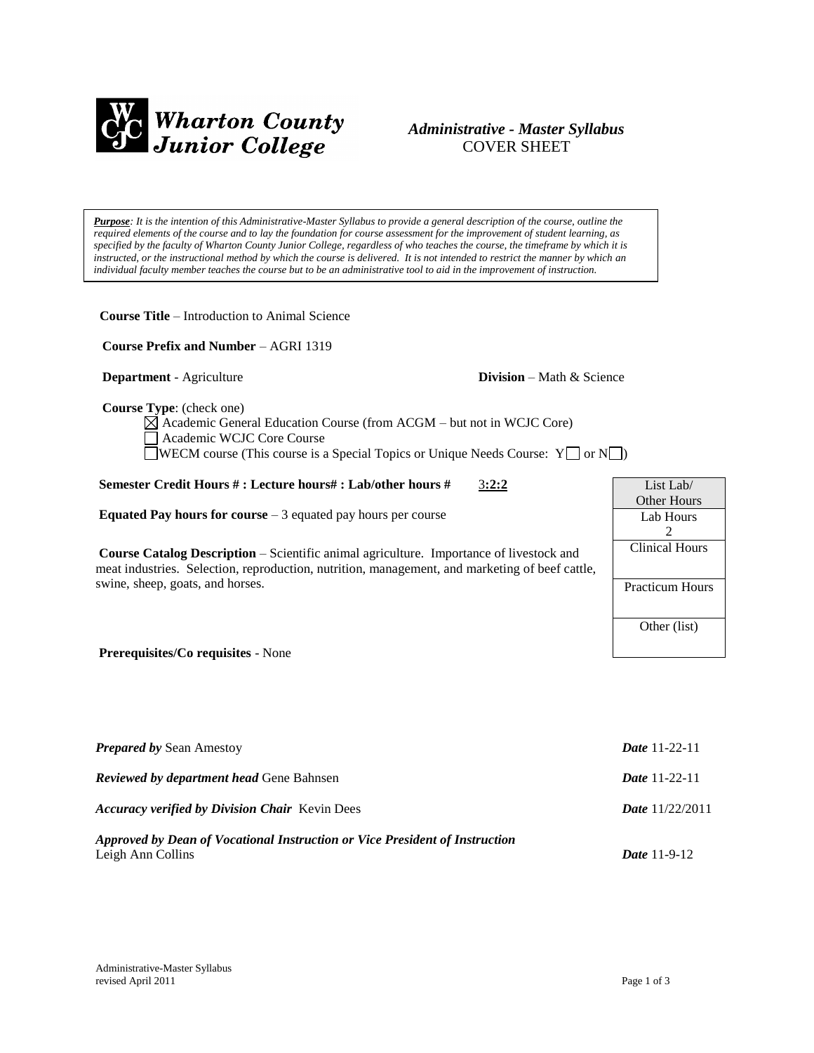

# *Administrative - Master Syllabus*  COVER SHEET

*Purpose: It is the intention of this Administrative-Master Syllabus to provide a general description of the course, outline the required elements of the course and to lay the foundation for course assessment for the improvement of student learning, as specified by the faculty of Wharton County Junior College, regardless of who teaches the course, the timeframe by which it is instructed, or the instructional method by which the course is delivered. It is not intended to restrict the manner by which an individual faculty member teaches the course but to be an administrative tool to aid in the improvement of instruction.*

**Course Title** – Introduction to Animal Science

 **Course Prefix and Number** – AGRI 1319

**Department** - Agriculture **Division** – Math & Science

 **Course Type**: (check one)

Academic General Education Course (from ACGM – but not in WCJC Core) Academic WCJC Core Course WECM course (This course is a Special Topics or Unique Needs Course:  $Y \Box$  or  $N \Box$ )

## **Semester Credit Hours # : Lecture hours# : Lab/other hours #** 3**:2:2**

**Equated Pay hours for course** – 3 equated pay hours per course

**Course Catalog Description** – Scientific animal agriculture. Importance of livestock and meat industries. Selection, reproduction, nutrition, management, and marketing of beef cattle, swine, sheep, goats, and horses.



**Prerequisites/Co requisites** - None

| <b>Prepared by Sean Amestoy</b>                                             | <b>Date</b> 11-22-11     |
|-----------------------------------------------------------------------------|--------------------------|
| <b>Reviewed by department head Gene Bahnsen</b>                             | <b>Date</b> 11-22-11     |
| <b>Accuracy verified by Division Chair</b> Kevin Dees                       | <b>Date</b> $11/22/2011$ |
| Approved by Dean of Vocational Instruction or Vice President of Instruction |                          |
| Leigh Ann Collins                                                           | <i>Date</i> $11-9-12$    |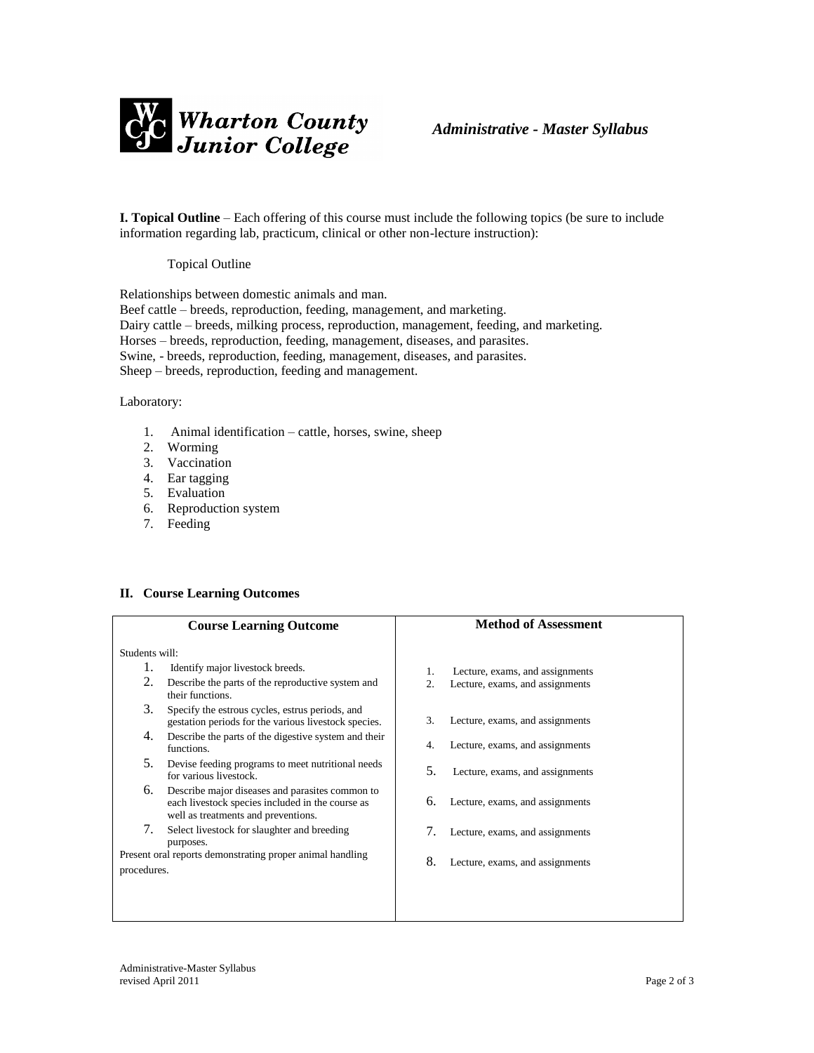

**I. Topical Outline** – Each offering of this course must include the following topics (be sure to include information regarding lab, practicum, clinical or other non-lecture instruction):

#### Topical Outline

Relationships between domestic animals and man. Beef cattle – breeds, reproduction, feeding, management, and marketing. Dairy cattle – breeds, milking process, reproduction, management, feeding, and marketing. Horses – breeds, reproduction, feeding, management, diseases, and parasites. Swine, - breeds, reproduction, feeding, management, diseases, and parasites. Sheep – breeds, reproduction, feeding and management.

#### Laboratory:

- 1. Animal identification cattle, horses, swine, sheep
- 2. Worming
- 3. Vaccination
- 4. Ear tagging
- 5. Evaluation
- 6. Reproduction system
- 7. Feeding

## **II. Course Learning Outcomes**

|                | <b>Course Learning Outcome</b>                                                                                                             | <b>Method of Assessment</b> |                                                                    |
|----------------|--------------------------------------------------------------------------------------------------------------------------------------------|-----------------------------|--------------------------------------------------------------------|
| Students will: |                                                                                                                                            |                             |                                                                    |
| 1.<br>2.       | Identify major livestock breeds.<br>Describe the parts of the reproductive system and<br>their functions.                                  | 1.<br>$\overline{2}$ .      | Lecture, exams, and assignments<br>Lecture, exams, and assignments |
| 3.             | Specify the estrous cycles, estrus periods, and<br>gestation periods for the various livestock species.                                    | 3.                          | Lecture, exams, and assignments                                    |
| 4.             | Describe the parts of the digestive system and their<br>functions.                                                                         | 4.                          | Lecture, exams, and assignments                                    |
| 5.             | Devise feeding programs to meet nutritional needs<br>for various livestock.                                                                | 5.                          | Lecture, exams, and assignments                                    |
| 6.             | Describe major diseases and parasites common to<br>each livestock species included in the course as<br>well as treatments and preventions. | 6.                          | Lecture, exams, and assignments                                    |
| 7.             | Select livestock for slaughter and breeding<br>purposes.                                                                                   | 7.                          | Lecture, exams, and assignments                                    |
| procedures.    | Present oral reports demonstrating proper animal handling                                                                                  | 8.                          | Lecture, exams, and assignments                                    |
|                |                                                                                                                                            |                             |                                                                    |